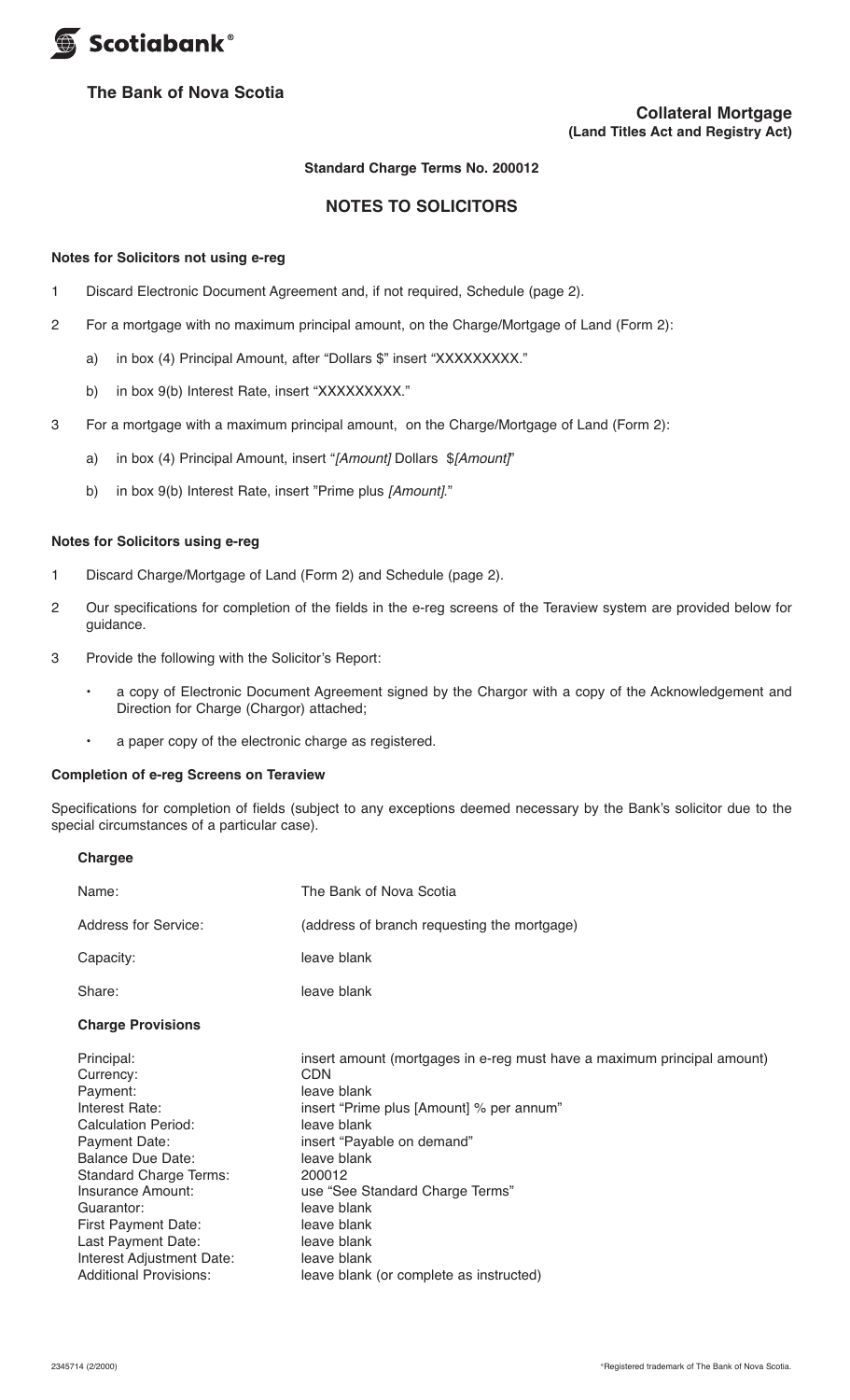

# **The Bank of Nova Scotia**

#### **Standard Charge Terms No. 200012**

# **NOTES TO SOLICITORS**

#### **Notes for Solicitors not using e-reg**

- 1 Discard Electronic Document Agreement and, if not required, Schedule (page 2).
- 2 For a mortgage with no maximum principal amount, on the Charge/Mortgage of Land (Form 2):
	- a) in box (4) Principal Amount, after "Dollars \$" insert "XXXXXXXXX."
	- b) in box 9(b) Interest Rate, insert "XXXXXXXX."
- 3 For a mortgage with a maximum principal amount, on the Charge/Mortgage of Land (Form 2):
	- a) in box (4) Principal Amount, insert "*[Amount]* Dollars \$*[Amount]*"
	- b) in box 9(b) Interest Rate, insert "Prime plus *[Amount]*."

# **Notes for Solicitors using e-reg**

- 1 Discard Charge/Mortgage of Land (Form 2) and Schedule (page 2).
- 2 Our specifications for completion of the fields in the e-reg screens of the Teraview system are provided below for guidance.
- 3 Provide the following with the Solicitor's Report:
	- a copy of Electronic Document Agreement signed by the Chargor with a copy of the Acknowledgement and Direction for Charge (Chargor) attached;
	- a paper copy of the electronic charge as registered.

#### **Completion of e-reg Screens on Teraview**

**Chargee**

Specifications for completion of fields (subject to any exceptions deemed necessary by the Bank's solicitor due to the special circumstances of a particular case).

| Name:                                                                                                                                                                                                                                                                                                                  | The Bank of Nova Scotia                                                                                                                                                                                                                                                                                                                                   |
|------------------------------------------------------------------------------------------------------------------------------------------------------------------------------------------------------------------------------------------------------------------------------------------------------------------------|-----------------------------------------------------------------------------------------------------------------------------------------------------------------------------------------------------------------------------------------------------------------------------------------------------------------------------------------------------------|
| Address for Service:                                                                                                                                                                                                                                                                                                   | (address of branch requesting the mortgage)                                                                                                                                                                                                                                                                                                               |
| Capacity:                                                                                                                                                                                                                                                                                                              | leave blank                                                                                                                                                                                                                                                                                                                                               |
| Share:                                                                                                                                                                                                                                                                                                                 | leave blank                                                                                                                                                                                                                                                                                                                                               |
| <b>Charge Provisions</b>                                                                                                                                                                                                                                                                                               |                                                                                                                                                                                                                                                                                                                                                           |
| Principal:<br>Currency:<br>Payment:<br>Interest Rate:<br><b>Calculation Period:</b><br>Payment Date:<br><b>Balance Due Date:</b><br><b>Standard Charge Terms:</b><br>Insurance Amount:<br>Guarantor:<br><b>First Payment Date:</b><br>Last Payment Date:<br>Interest Adjustment Date:<br><b>Additional Provisions:</b> | insert amount (mortgages in e-reg must have a maximum principal amount)<br>CDN<br>leave blank<br>insert "Prime plus [Amount] % per annum"<br>leave blank<br>insert "Payable on demand"<br>leave blank<br>200012<br>use "See Standard Charge Terms"<br>leave blank<br>leave blank<br>leave blank<br>leave blank<br>leave blank (or complete as instructed) |
|                                                                                                                                                                                                                                                                                                                        |                                                                                                                                                                                                                                                                                                                                                           |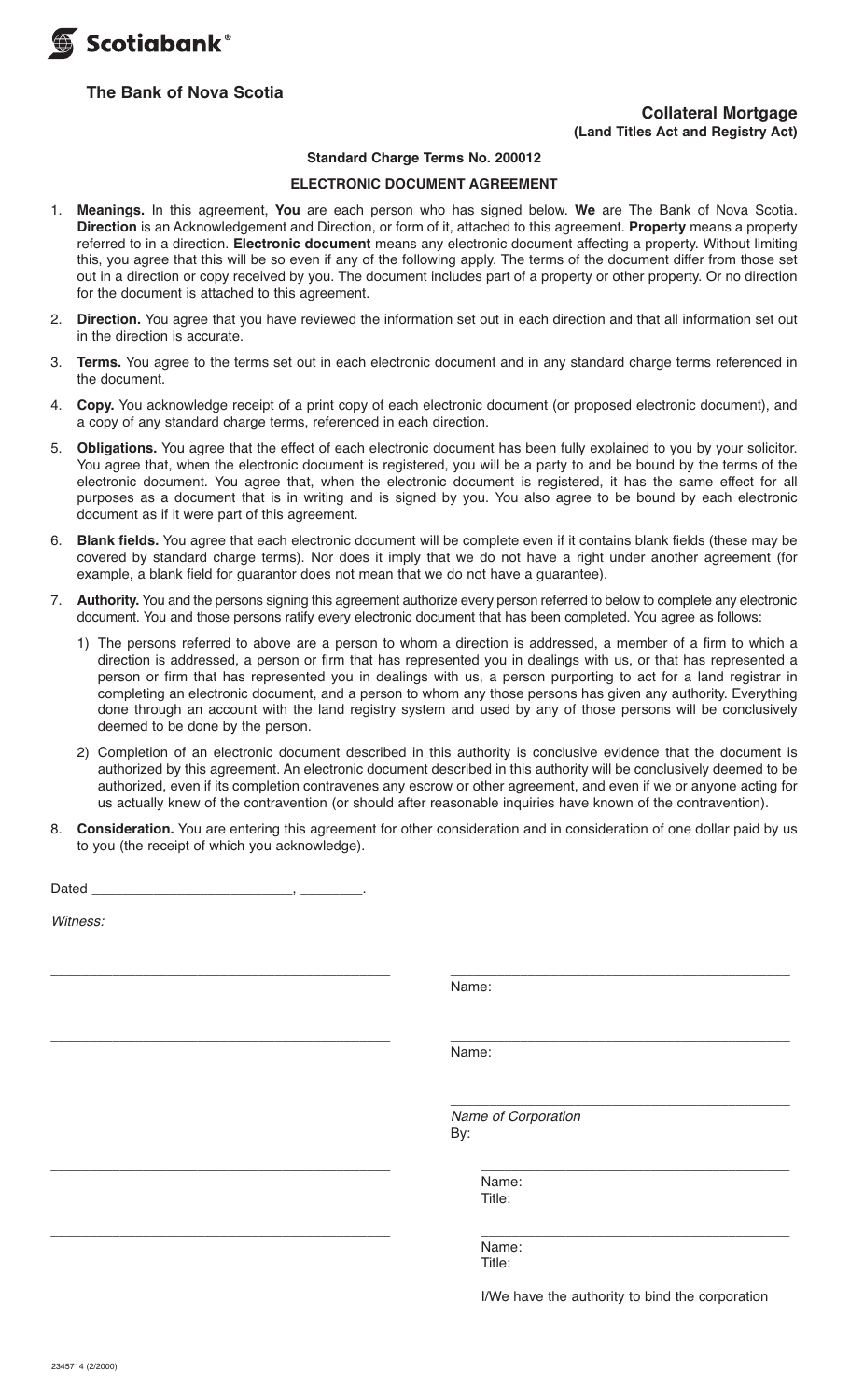

# **The Bank of Nova Scotia**

# **Collateral Mortgage (Land Titles Act and Registry Act)**

#### **Standard Charge Terms No. 200012**

### **ELECTRONIC DOCUMENT AGREEMENT**

- 1. **Meanings.** In this agreement, **You** are each person who has signed below. **We** are The Bank of Nova Scotia. **Direction** is an Acknowledgement and Direction, or form of it, attached to this agreement. **Property** means a property referred to in a direction. **Electronic document** means any electronic document affecting a property. Without limiting this, you agree that this will be so even if any of the following apply. The terms of the document differ from those set out in a direction or copy received by you. The document includes part of a property or other property. Or no direction for the document is attached to this agreement.
- 2. **Direction.** You agree that you have reviewed the information set out in each direction and that all information set out in the direction is accurate.
- 3. **Terms.** You agree to the terms set out in each electronic document and in any standard charge terms referenced in the document.
- 4. **Copy.** You acknowledge receipt of a print copy of each electronic document (or proposed electronic document), and a copy of any standard charge terms, referenced in each direction.
- 5. **Obligations.** You agree that the effect of each electronic document has been fully explained to you by your solicitor. You agree that, when the electronic document is registered, you will be a party to and be bound by the terms of the electronic document. You agree that, when the electronic document is registered, it has the same effect for all purposes as a document that is in writing and is signed by you. You also agree to be bound by each electronic document as if it were part of this agreement.
- 6. **Blank fields.** You agree that each electronic document will be complete even if it contains blank fields (these may be covered by standard charge terms). Nor does it imply that we do not have a right under another agreement (for example, a blank field for guarantor does not mean that we do not have a guarantee).
- 7. **Authority.** You and the persons signing this agreement authorize every person referred to below to complete any electronic document. You and those persons ratify every electronic document that has been completed. You agree as follows:
	- 1) The persons referred to above are a person to whom a direction is addressed, a member of a firm to which a direction is addressed, a person or firm that has represented you in dealings with us, or that has represented a person or firm that has represented you in dealings with us, a person purporting to act for a land registrar in completing an electronic document, and a person to whom any those persons has given any authority. Everything done through an account with the land registry system and used by any of those persons will be conclusively deemed to be done by the person.
	- 2) Completion of an electronic document described in this authority is conclusive evidence that the document is authorized by this agreement. An electronic document described in this authority will be conclusively deemed to be authorized, even if its completion contravenes any escrow or other agreement, and even if we or anyone acting for us actually knew of the contravention (or should after reasonable inquiries have known of the contravention).
- 8. **Consideration.** You are entering this agreement for other consideration and in consideration of one dollar paid by us to you (the receipt of which you acknowledge).

Dated \_\_\_\_\_\_\_\_\_\_\_\_\_\_\_\_\_\_\_\_\_\_\_\_\_\_, \_\_\_\_\_\_\_\_.

*Witness:* 

\_\_\_\_\_\_\_\_\_\_\_\_\_\_\_\_\_\_\_\_\_\_\_\_\_\_\_\_\_\_\_\_\_\_\_\_\_\_\_\_\_\_\_\_ \_\_\_\_\_\_\_\_\_\_\_\_\_\_\_\_\_\_\_\_\_\_\_\_\_\_\_\_\_\_\_\_\_\_\_\_\_\_\_\_\_\_\_\_ Name:

\_\_\_\_\_\_\_\_\_\_\_\_\_\_\_\_\_\_\_\_\_\_\_\_\_\_\_\_\_\_\_\_\_\_\_\_\_\_\_\_\_\_\_\_ \_\_\_\_\_\_\_\_\_\_\_\_\_\_\_\_\_\_\_\_\_\_\_\_\_\_\_\_\_\_\_\_\_\_\_\_\_\_\_\_\_\_\_\_ Name:

 $\_$  *Name of Corporation* By:

\_\_\_\_\_\_\_\_\_\_\_\_\_\_\_\_\_\_\_\_\_\_\_\_\_\_\_\_\_\_\_\_\_\_\_\_\_\_\_\_\_\_\_\_ \_\_\_\_\_\_\_\_\_\_\_\_\_\_\_\_\_\_\_\_\_\_\_\_\_\_\_\_\_\_\_\_\_\_\_\_\_\_\_\_ Name: Title:

\_\_\_\_\_\_\_\_\_\_\_\_\_\_\_\_\_\_\_\_\_\_\_\_\_\_\_\_\_\_\_\_\_\_\_\_\_\_\_\_\_\_\_\_ \_\_\_\_\_\_\_\_\_\_\_\_\_\_\_\_\_\_\_\_\_\_\_\_\_\_\_\_\_\_\_\_\_\_\_\_\_\_\_\_ Name: Title:

I/We have the authority to bind the corporation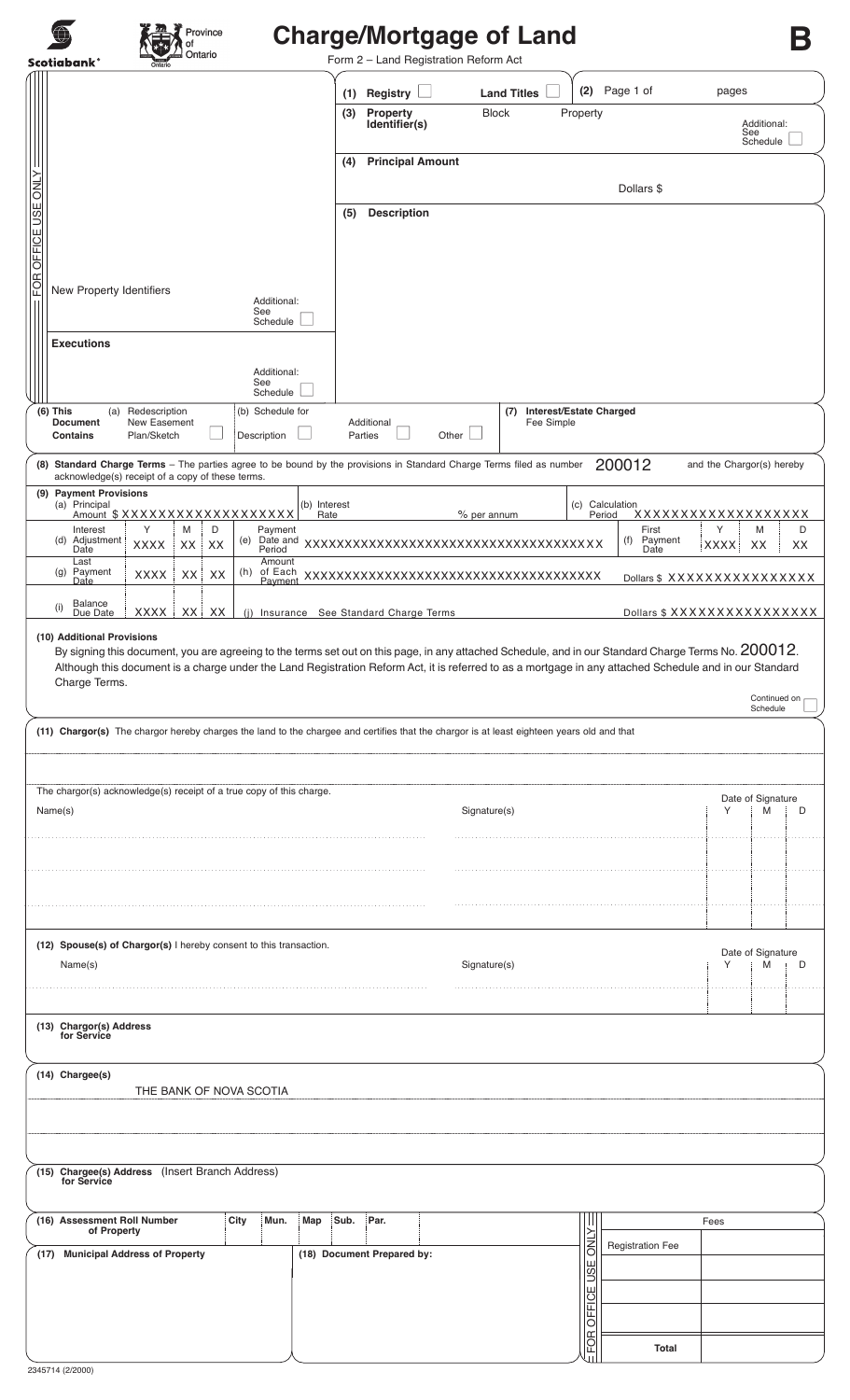| Province<br>Ontario<br><b>Scotiabank®</b>                                                                                                                                | <b>Charge/Mortgage of Land</b><br>Form 2 - Land Registration Reform Act                                                                                                                                                                                                                                         |                                    |
|--------------------------------------------------------------------------------------------------------------------------------------------------------------------------|-----------------------------------------------------------------------------------------------------------------------------------------------------------------------------------------------------------------------------------------------------------------------------------------------------------------|------------------------------------|
|                                                                                                                                                                          | Page 1 of<br>(2)<br><b>Land Titles</b><br>Registry<br>(1)                                                                                                                                                                                                                                                       | pages                              |
|                                                                                                                                                                          | Property<br><b>Block</b><br>Property<br>(3)<br>Identifier(s)                                                                                                                                                                                                                                                    | Additional:<br>See<br>Schedule     |
|                                                                                                                                                                          | <b>Principal Amount</b><br>(4)                                                                                                                                                                                                                                                                                  |                                    |
| FOR OFFICE USE ONLY                                                                                                                                                      | Dollars \$                                                                                                                                                                                                                                                                                                      |                                    |
|                                                                                                                                                                          | <b>Description</b><br>(5)                                                                                                                                                                                                                                                                                       |                                    |
|                                                                                                                                                                          |                                                                                                                                                                                                                                                                                                                 |                                    |
| New Property Identifiers                                                                                                                                                 |                                                                                                                                                                                                                                                                                                                 |                                    |
| Additional:<br>See                                                                                                                                                       |                                                                                                                                                                                                                                                                                                                 |                                    |
| Schedule<br><b>Executions</b>                                                                                                                                            |                                                                                                                                                                                                                                                                                                                 |                                    |
| Additional:                                                                                                                                                              |                                                                                                                                                                                                                                                                                                                 |                                    |
| See<br>Schedule                                                                                                                                                          |                                                                                                                                                                                                                                                                                                                 |                                    |
| (b) Schedule for<br>(6) This<br>Redescription<br>(a)<br>New Easement<br><b>Document</b><br>Plan/Sketch<br>Description<br><b>Contains</b>                                 | (7) Interest/Estate Charged<br>Additional<br>Fee Simple<br>Parties<br>Other                                                                                                                                                                                                                                     |                                    |
| (8) Standard Charge Terms - The parties agree to be bound by the provisions in Standard Charge Terms filed as number<br>acknowledge(s) receipt of a copy of these terms. | 200012                                                                                                                                                                                                                                                                                                          | and the Chargor(s) hereby          |
| (9) Payment Provisions<br>(a) Principal<br>(b) Interest                                                                                                                  | Calculation<br>(c)                                                                                                                                                                                                                                                                                              |                                    |
| Amount \$XXXXXXXXXXXXXXXXXXX<br>Y<br>D<br>Interest<br>M<br>Payment                                                                                                       | % per annum<br>Rate<br>Period<br>First                                                                                                                                                                                                                                                                          | xxxxxxxxxxxxxxxxxx<br>Υ<br>D<br>M  |
| Adjustment<br>(d)<br>(e)<br><b>XXXX</b><br>XX<br>XX<br>Period<br>Date<br>Last<br>Amount                                                                                  | (f)<br>Date                                                                                                                                                                                                                                                                                                     | Payment<br><b>XXXX</b><br>XX<br>ХX |
| Payment<br>(h)<br>of Each<br>(g)<br><b>XXXX</b><br>XX<br>XX<br>Date<br>Payment                                                                                           | XXXXXXXXXXXXXXXXXXXXXXXXXXXXXXXXXXXXX                                                                                                                                                                                                                                                                           | Dollars \$ XXXXXXXXXXXXXXX         |
| <b>Balance</b><br>(i)<br>XXXX<br>XX  <br>XX<br>Due Date                                                                                                                  | (i) Insurance See Standard Charge Terms                                                                                                                                                                                                                                                                         | Dollars \$ XXXXXXXXXXXXXXX         |
| (10) Additional Provisions<br>Charge Terms.                                                                                                                              | By signing this document, you are agreeing to the terms set out on this page, in any attached Schedule, and in our Standard Charge Terms No. 200012.<br>Although this document is a charge under the Land Registration Reform Act, it is referred to as a mortgage in any attached Schedule and in our Standard | Continued on<br>Schedule           |
|                                                                                                                                                                          | (11) Chargor(s) The chargor hereby charges the land to the chargee and certifies that the chargor is at least eighteen years old and that                                                                                                                                                                       |                                    |
|                                                                                                                                                                          |                                                                                                                                                                                                                                                                                                                 |                                    |
| The chargor(s) acknowledge(s) receipt of a true copy of this charge.<br>Name(s)                                                                                          | Signature(s)                                                                                                                                                                                                                                                                                                    | Date of Signature                  |
|                                                                                                                                                                          |                                                                                                                                                                                                                                                                                                                 | Υ<br>M<br>D                        |
|                                                                                                                                                                          |                                                                                                                                                                                                                                                                                                                 |                                    |
|                                                                                                                                                                          |                                                                                                                                                                                                                                                                                                                 |                                    |
|                                                                                                                                                                          |                                                                                                                                                                                                                                                                                                                 |                                    |
|                                                                                                                                                                          |                                                                                                                                                                                                                                                                                                                 |                                    |
| (12) Spouse(s) of Chargor(s) I hereby consent to this transaction.                                                                                                       |                                                                                                                                                                                                                                                                                                                 | Date of Signature                  |
| Name(s)                                                                                                                                                                  | Signature(s)                                                                                                                                                                                                                                                                                                    | M<br>Υ<br>D                        |
|                                                                                                                                                                          |                                                                                                                                                                                                                                                                                                                 |                                    |
| (13) Chargor(s) Address<br>for Service                                                                                                                                   |                                                                                                                                                                                                                                                                                                                 |                                    |
|                                                                                                                                                                          |                                                                                                                                                                                                                                                                                                                 |                                    |
| (14) Chargee(s)<br>THE BANK OF NOVA SCOTIA                                                                                                                               |                                                                                                                                                                                                                                                                                                                 |                                    |
|                                                                                                                                                                          |                                                                                                                                                                                                                                                                                                                 |                                    |
|                                                                                                                                                                          |                                                                                                                                                                                                                                                                                                                 |                                    |
| (15) Chargee(s) Address (Insert Branch Address)<br>for Service                                                                                                           |                                                                                                                                                                                                                                                                                                                 |                                    |
|                                                                                                                                                                          |                                                                                                                                                                                                                                                                                                                 |                                    |
| (16) Assessment Roll Number<br>City<br>Mun.<br>Map<br>of Property                                                                                                        | Par.<br>Sub.<br><b>Registration Fee</b>                                                                                                                                                                                                                                                                         | Fees                               |
| (17) Municipal Address of Property                                                                                                                                       | <b>NLY</b><br>(18) Document Prepared by:                                                                                                                                                                                                                                                                        |                                    |
|                                                                                                                                                                          |                                                                                                                                                                                                                                                                                                                 |                                    |
|                                                                                                                                                                          | OFFICE USE<br>FOR                                                                                                                                                                                                                                                                                               |                                    |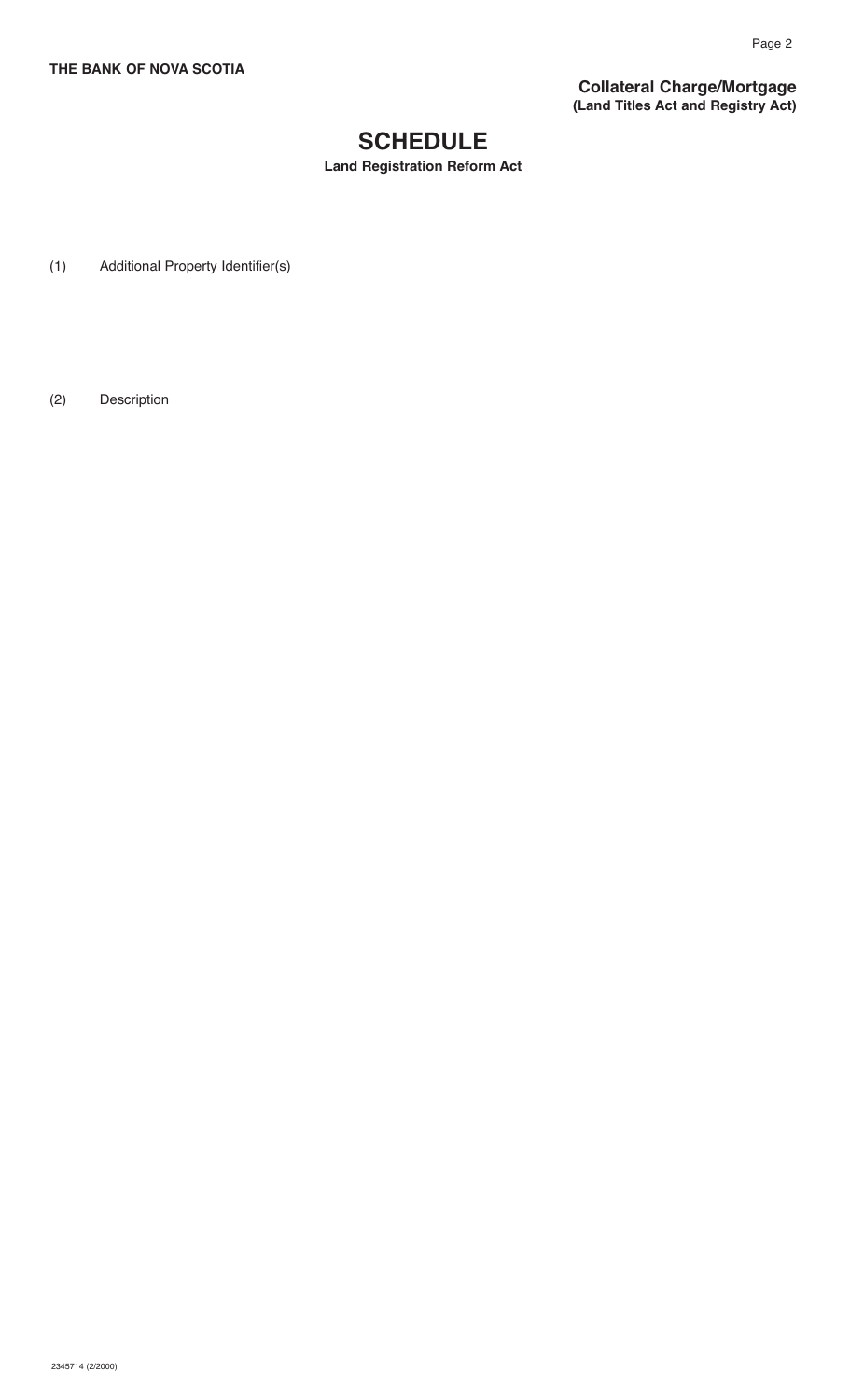**Collateral Charge/Mortgage (Land Titles Act and Registry Act)**

# **SCHEDULE**

**Land Registration Reform Act**

(1) Additional Property Identifier(s)

(2) Description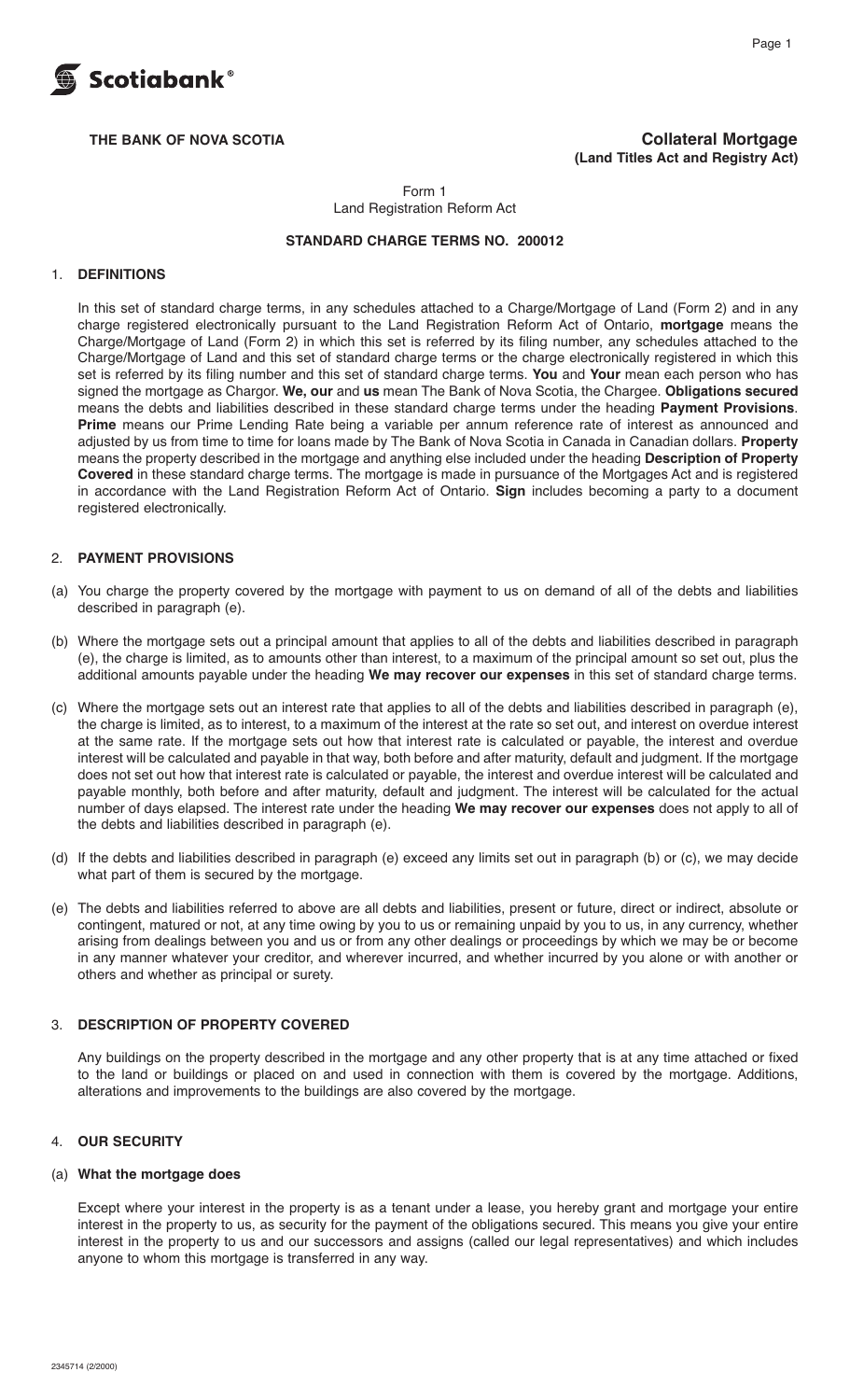

THE BANK OF NOVA SCOTIA **COLLATER STATES ASSESSED ASSESSED.** Collateral Mortgage **(Land Titles Act and Registry Act)**

> Form 1 Land Registration Reform Act

#### **STANDARD CHARGE TERMS NO. 200012**

#### 1. **DEFINITIONS**

 In this set of standard charge terms, in any schedules attached to a Charge/Mortgage of Land (Form 2) and in any charge registered electronically pursuant to the Land Registration Reform Act of Ontario, **mortgage** means the Charge/Mortgage of Land (Form 2) in which this set is referred by its filing number, any schedules attached to the Charge/Mortgage of Land and this set of standard charge terms or the charge electronically registered in which this set is referred by its filing number and this set of standard charge terms. **You** and **Your** mean each person who has signed the mortgage as Chargor. **We, our** and **us** mean The Bank of Nova Scotia, the Chargee. **Obligations secured** means the debts and liabilities described in these standard charge terms under the heading **Payment Provisions**. **Prime** means our Prime Lending Rate being a variable per annum reference rate of interest as announced and adjusted by us from time to time for loans made by The Bank of Nova Scotia in Canada in Canadian dollars. **Property** means the property described in the mortgage and anything else included under the heading **Description of Property Covered** in these standard charge terms. The mortgage is made in pursuance of the Mortgages Act and is registered in accordance with the Land Registration Reform Act of Ontario. **Sign** includes becoming a party to a document registered electronically.

#### 2. **PAYMENT PROVISIONS**

- (a) You charge the property covered by the mortgage with payment to us on demand of all of the debts and liabilities described in paragraph (e).
- (b) Where the mortgage sets out a principal amount that applies to all of the debts and liabilities described in paragraph (e), the charge is limited, as to amounts other than interest, to a maximum of the principal amount so set out, plus the additional amounts payable under the heading **We may recover our expenses** in this set of standard charge terms.
- (c) Where the mortgage sets out an interest rate that applies to all of the debts and liabilities described in paragraph (e), the charge is limited, as to interest, to a maximum of the interest at the rate so set out, and interest on overdue interest at the same rate. If the mortgage sets out how that interest rate is calculated or payable, the interest and overdue interest will be calculated and payable in that way, both before and after maturity, default and judgment. If the mortgage does not set out how that interest rate is calculated or payable, the interest and overdue interest will be calculated and payable monthly, both before and after maturity, default and judgment. The interest will be calculated for the actual number of days elapsed. The interest rate under the heading **We may recover our expenses** does not apply to all of the debts and liabilities described in paragraph (e).
- (d) If the debts and liabilities described in paragraph (e) exceed any limits set out in paragraph (b) or (c), we may decide what part of them is secured by the mortgage.
- (e) The debts and liabilities referred to above are all debts and liabilities, present or future, direct or indirect, absolute or contingent, matured or not, at any time owing by you to us or remaining unpaid by you to us, in any currency, whether arising from dealings between you and us or from any other dealings or proceedings by which we may be or become in any manner whatever your creditor, and wherever incurred, and whether incurred by you alone or with another or others and whether as principal or surety.

### 3. **DESCRIPTION OF PROPERTY COVERED**

 Any buildings on the property described in the mortgage and any other property that is at any time attached or fixed to the land or buildings or placed on and used in connection with them is covered by the mortgage. Additions, alterations and improvements to the buildings are also covered by the mortgage.

#### 4. **OUR SECURITY**

#### (a) **What the mortgage does**

 Except where your interest in the property is as a tenant under a lease, you hereby grant and mortgage your entire interest in the property to us, as security for the payment of the obligations secured. This means you give your entire interest in the property to us and our successors and assigns (called our legal representatives) and which includes anyone to whom this mortgage is transferred in any way.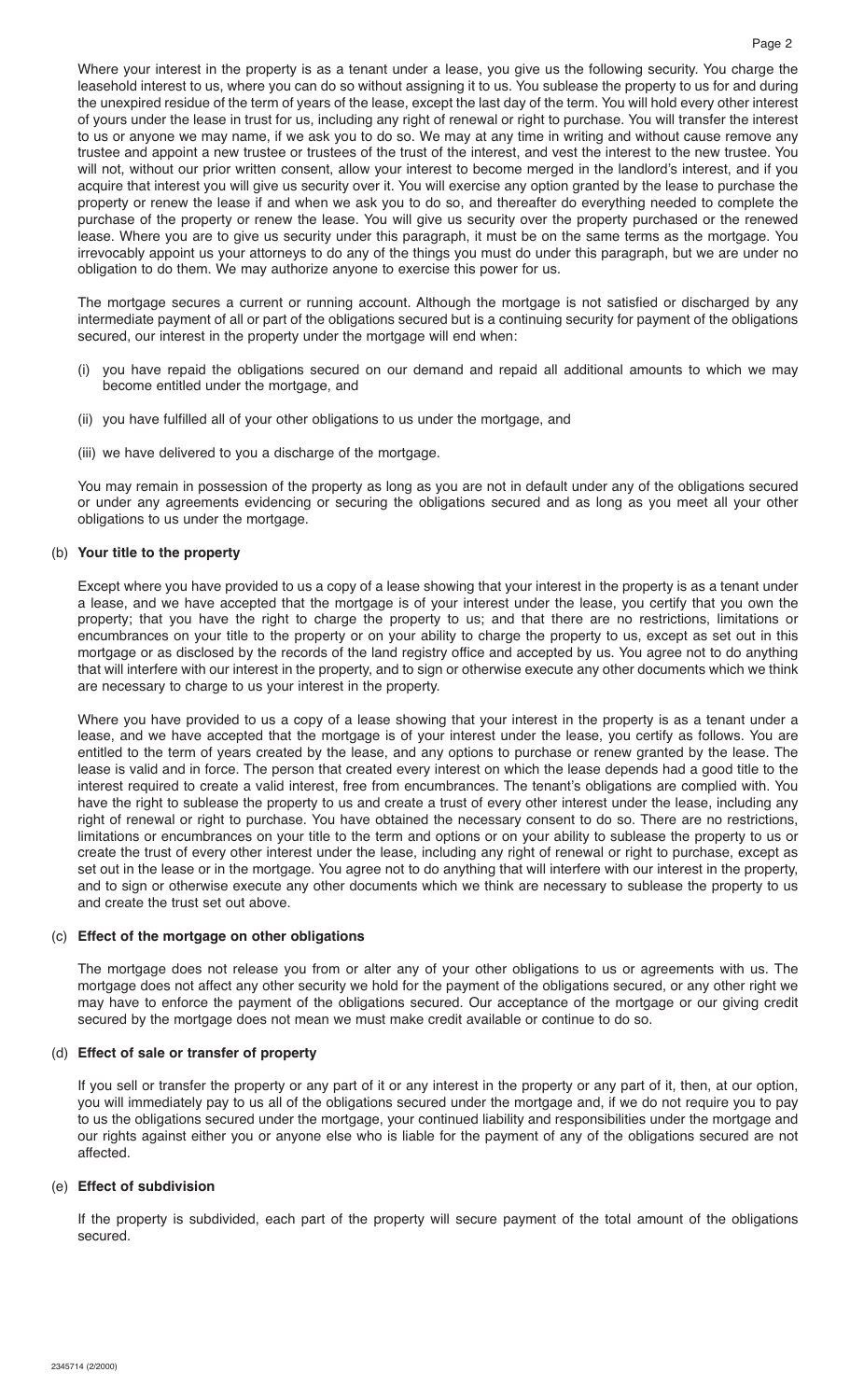Where your interest in the property is as a tenant under a lease, you give us the following security. You charge the leasehold interest to us, where you can do so without assigning it to us. You sublease the property to us for and during the unexpired residue of the term of years of the lease, except the last day of the term. You will hold every other interest of yours under the lease in trust for us, including any right of renewal or right to purchase. You will transfer the interest to us or anyone we may name, if we ask you to do so. We may at any time in writing and without cause remove any trustee and appoint a new trustee or trustees of the trust of the interest, and vest the interest to the new trustee. You will not, without our prior written consent, allow your interest to become merged in the landlord's interest, and if you acquire that interest you will give us security over it. You will exercise any option granted by the lease to purchase the property or renew the lease if and when we ask you to do so, and thereafter do everything needed to complete the purchase of the property or renew the lease. You will give us security over the property purchased or the renewed lease. Where you are to give us security under this paragraph, it must be on the same terms as the mortgage. You irrevocably appoint us your attorneys to do any of the things you must do under this paragraph, but we are under no obligation to do them. We may authorize anyone to exercise this power for us.

 The mortgage secures a current or running account. Although the mortgage is not satisfied or discharged by any intermediate payment of all or part of the obligations secured but is a continuing security for payment of the obligations secured, our interest in the property under the mortgage will end when:

- (i) you have repaid the obligations secured on our demand and repaid all additional amounts to which we may become entitled under the mortgage, and
- (ii) you have fulfilled all of your other obligations to us under the mortgage, and
- (iii) we have delivered to you a discharge of the mortgage.

 You may remain in possession of the property as long as you are not in default under any of the obligations secured or under any agreements evidencing or securing the obligations secured and as long as you meet all your other obligations to us under the mortgage.

#### (b) **Your title to the property**

 Except where you have provided to us a copy of a lease showing that your interest in the property is as a tenant under a lease, and we have accepted that the mortgage is of your interest under the lease, you certify that you own the property; that you have the right to charge the property to us; and that there are no restrictions, limitations or encumbrances on your title to the property or on your ability to charge the property to us, except as set out in this mortgage or as disclosed by the records of the land registry office and accepted by us. You agree not to do anything that will interfere with our interest in the property, and to sign or otherwise execute any other documents which we think are necessary to charge to us your interest in the property.

 Where you have provided to us a copy of a lease showing that your interest in the property is as a tenant under a lease, and we have accepted that the mortgage is of your interest under the lease, you certify as follows. You are entitled to the term of years created by the lease, and any options to purchase or renew granted by the lease. The lease is valid and in force. The person that created every interest on which the lease depends had a good title to the interest required to create a valid interest, free from encumbrances. The tenant's obligations are complied with. You have the right to sublease the property to us and create a trust of every other interest under the lease, including any right of renewal or right to purchase. You have obtained the necessary consent to do so. There are no restrictions, limitations or encumbrances on your title to the term and options or on your ability to sublease the property to us or create the trust of every other interest under the lease, including any right of renewal or right to purchase, except as set out in the lease or in the mortgage. You agree not to do anything that will interfere with our interest in the property, and to sign or otherwise execute any other documents which we think are necessary to sublease the property to us and create the trust set out above.

#### (c) **Effect of the mortgage on other obligations**

 The mortgage does not release you from or alter any of your other obligations to us or agreements with us. The mortgage does not affect any other security we hold for the payment of the obligations secured, or any other right we may have to enforce the payment of the obligations secured. Our acceptance of the mortgage or our giving credit secured by the mortgage does not mean we must make credit available or continue to do so.

#### (d) **Effect of sale or transfer of property**

 If you sell or transfer the property or any part of it or any interest in the property or any part of it, then, at our option, you will immediately pay to us all of the obligations secured under the mortgage and, if we do not require you to pay to us the obligations secured under the mortgage, your continued liability and responsibilities under the mortgage and our rights against either you or anyone else who is liable for the payment of any of the obligations secured are not affected.

#### (e) **Effect of subdivision**

 If the property is subdivided, each part of the property will secure payment of the total amount of the obligations secured.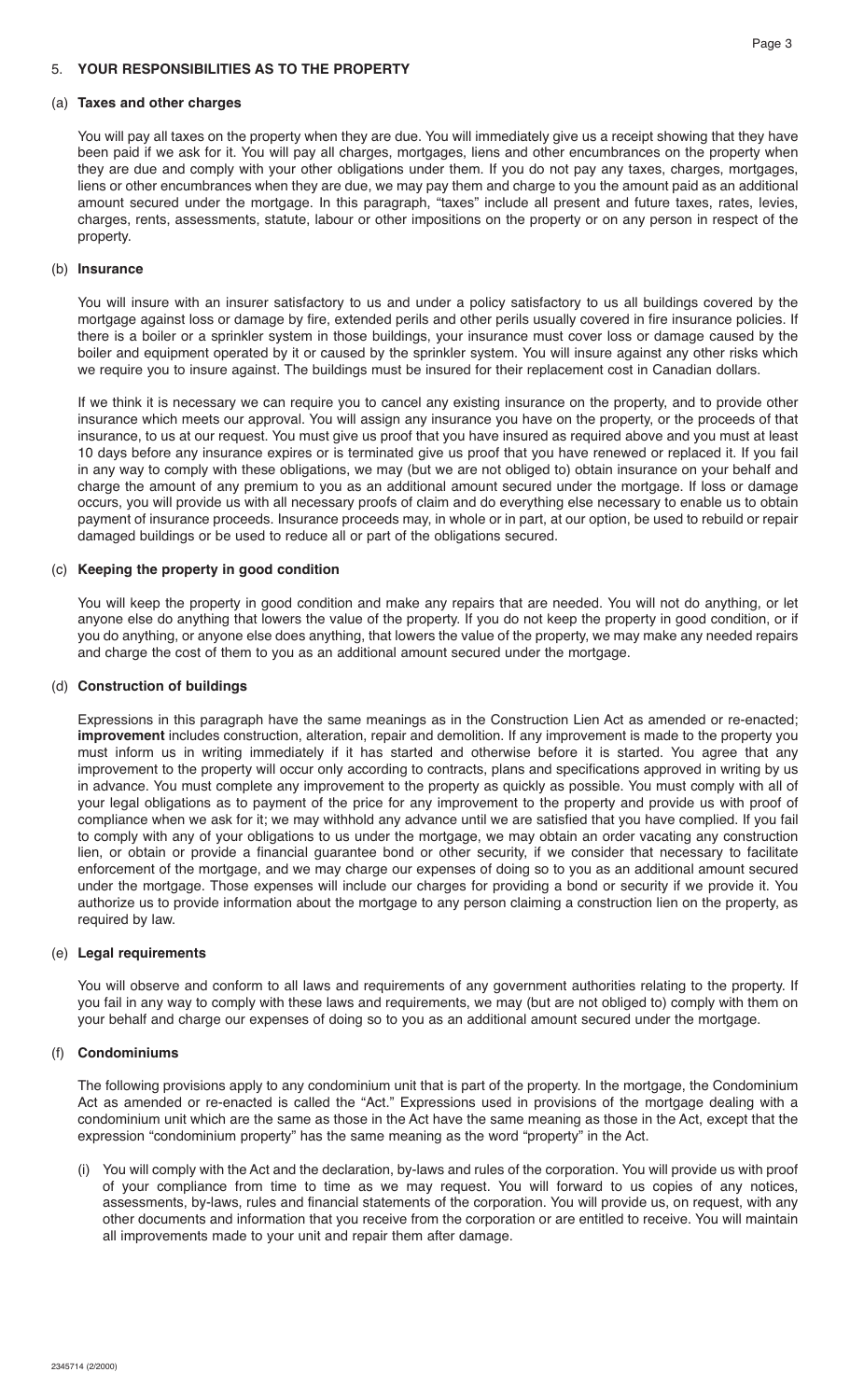### 5. **YOUR RESPONSIBILITIES AS TO THE PROPERTY**

#### (a) **Taxes and other charges**

 You will pay all taxes on the property when they are due. You will immediately give us a receipt showing that they have been paid if we ask for it. You will pay all charges, mortgages, liens and other encumbrances on the property when they are due and comply with your other obligations under them. If you do not pay any taxes, charges, mortgages, liens or other encumbrances when they are due, we may pay them and charge to you the amount paid as an additional amount secured under the mortgage. In this paragraph, "taxes" include all present and future taxes, rates, levies, charges, rents, assessments, statute, labour or other impositions on the property or on any person in respect of the property.

#### (b) **Insurance**

 You will insure with an insurer satisfactory to us and under a policy satisfactory to us all buildings covered by the mortgage against loss or damage by fire, extended perils and other perils usually covered in fire insurance policies. If there is a boiler or a sprinkler system in those buildings, your insurance must cover loss or damage caused by the boiler and equipment operated by it or caused by the sprinkler system. You will insure against any other risks which we require you to insure against. The buildings must be insured for their replacement cost in Canadian dollars.

 If we think it is necessary we can require you to cancel any existing insurance on the property, and to provide other insurance which meets our approval. You will assign any insurance you have on the property, or the proceeds of that insurance, to us at our request. You must give us proof that you have insured as required above and you must at least 10 days before any insurance expires or is terminated give us proof that you have renewed or replaced it. If you fail in any way to comply with these obligations, we may (but we are not obliged to) obtain insurance on your behalf and charge the amount of any premium to you as an additional amount secured under the mortgage. If loss or damage occurs, you will provide us with all necessary proofs of claim and do everything else necessary to enable us to obtain payment of insurance proceeds. Insurance proceeds may, in whole or in part, at our option, be used to rebuild or repair damaged buildings or be used to reduce all or part of the obligations secured.

#### (c) **Keeping the property in good condition**

 You will keep the property in good condition and make any repairs that are needed. You will not do anything, or let anyone else do anything that lowers the value of the property. If you do not keep the property in good condition, or if you do anything, or anyone else does anything, that lowers the value of the property, we may make any needed repairs and charge the cost of them to you as an additional amount secured under the mortgage.

#### (d) **Construction of buildings**

 Expressions in this paragraph have the same meanings as in the Construction Lien Act as amended or re-enacted; **improvement** includes construction, alteration, repair and demolition. If any improvement is made to the property you must inform us in writing immediately if it has started and otherwise before it is started. You agree that any improvement to the property will occur only according to contracts, plans and specifications approved in writing by us in advance. You must complete any improvement to the property as quickly as possible. You must comply with all of your legal obligations as to payment of the price for any improvement to the property and provide us with proof of compliance when we ask for it; we may withhold any advance until we are satisfied that you have complied. If you fail to comply with any of your obligations to us under the mortgage, we may obtain an order vacating any construction lien, or obtain or provide a financial guarantee bond or other security, if we consider that necessary to facilitate enforcement of the mortgage, and we may charge our expenses of doing so to you as an additional amount secured under the mortgage. Those expenses will include our charges for providing a bond or security if we provide it. You authorize us to provide information about the mortgage to any person claiming a construction lien on the property, as required by law.

#### (e) **Legal requirements**

 You will observe and conform to all laws and requirements of any government authorities relating to the property. If you fail in any way to comply with these laws and requirements, we may (but are not obliged to) comply with them on your behalf and charge our expenses of doing so to you as an additional amount secured under the mortgage.

#### (f) **Condominiums**

 The following provisions apply to any condominium unit that is part of the property. In the mortgage, the Condominium Act as amended or re-enacted is called the "Act." Expressions used in provisions of the mortgage dealing with a condominium unit which are the same as those in the Act have the same meaning as those in the Act, except that the expression "condominium property" has the same meaning as the word "property" in the Act.

 (i) You will comply with the Act and the declaration, by-laws and rules of the corporation. You will provide us with proof of your compliance from time to time as we may request. You will forward to us copies of any notices, assessments, by-laws, rules and financial statements of the corporation. You will provide us, on request, with any other documents and information that you receive from the corporation or are entitled to receive. You will maintain all improvements made to your unit and repair them after damage.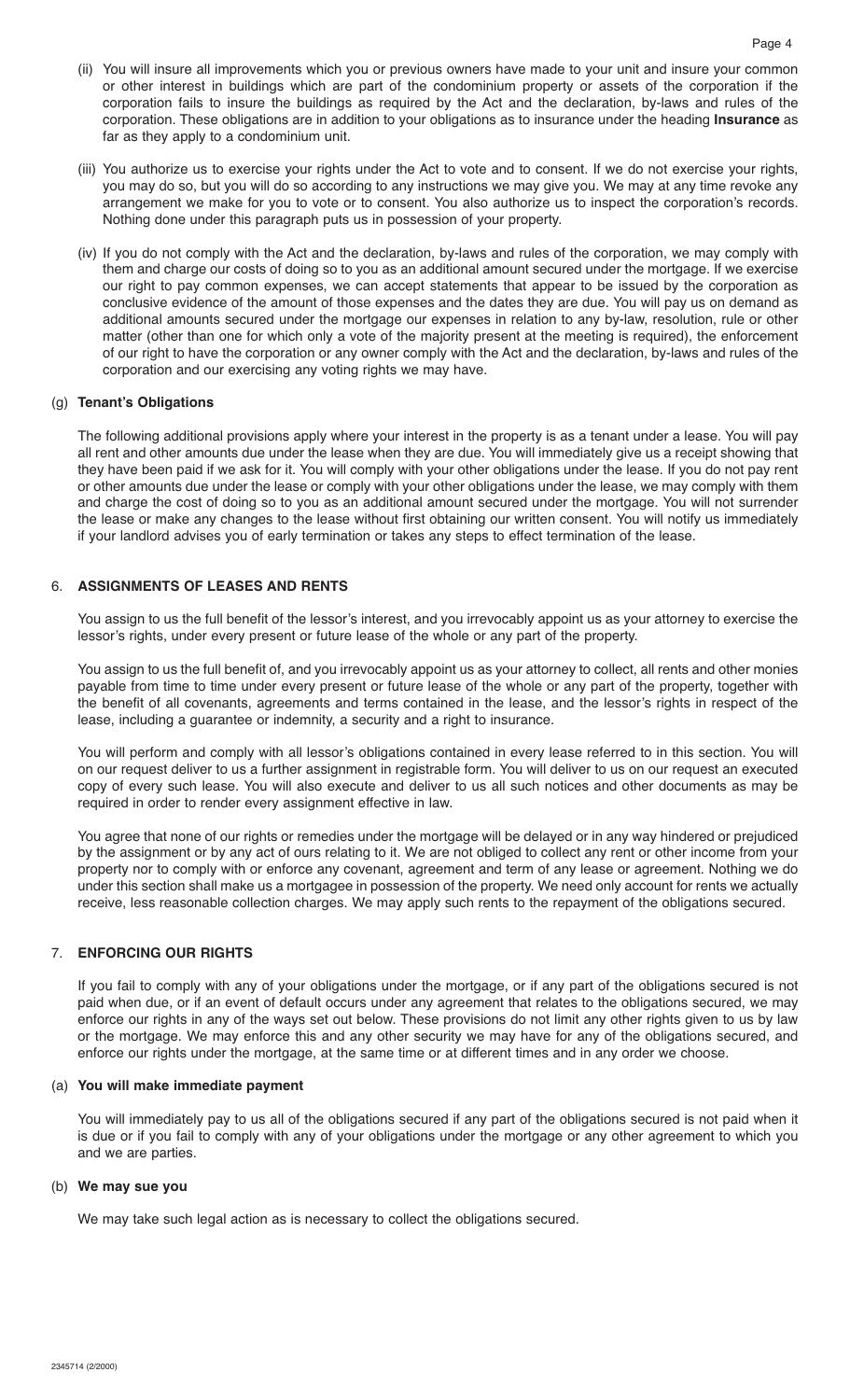- (ii) You will insure all improvements which you or previous owners have made to your unit and insure your common or other interest in buildings which are part of the condominium property or assets of the corporation if the corporation fails to insure the buildings as required by the Act and the declaration, by-laws and rules of the corporation. These obligations are in addition to your obligations as to insurance under the heading **Insurance** as far as they apply to a condominium unit.
- (iii) You authorize us to exercise your rights under the Act to vote and to consent. If we do not exercise your rights, you may do so, but you will do so according to any instructions we may give you. We may at any time revoke any arrangement we make for you to vote or to consent. You also authorize us to inspect the corporation's records. Nothing done under this paragraph puts us in possession of your property.
- (iv) If you do not comply with the Act and the declaration, by-laws and rules of the corporation, we may comply with them and charge our costs of doing so to you as an additional amount secured under the mortgage. If we exercise our right to pay common expenses, we can accept statements that appear to be issued by the corporation as conclusive evidence of the amount of those expenses and the dates they are due. You will pay us on demand as additional amounts secured under the mortgage our expenses in relation to any by-law, resolution, rule or other matter (other than one for which only a vote of the majority present at the meeting is required), the enforcement of our right to have the corporation or any owner comply with the Act and the declaration, by-laws and rules of the corporation and our exercising any voting rights we may have.

#### (g) **Tenant's Obligations**

 The following additional provisions apply where your interest in the property is as a tenant under a lease. You will pay all rent and other amounts due under the lease when they are due. You will immediately give us a receipt showing that they have been paid if we ask for it. You will comply with your other obligations under the lease. If you do not pay rent or other amounts due under the lease or comply with your other obligations under the lease, we may comply with them and charge the cost of doing so to you as an additional amount secured under the mortgage. You will not surrender the lease or make any changes to the lease without first obtaining our written consent. You will notify us immediately if your landlord advises you of early termination or takes any steps to effect termination of the lease.

# 6. **ASSIGNMENTS OF LEASES AND RENTS**

 You assign to us the full benefit of the lessor's interest, and you irrevocably appoint us as your attorney to exercise the lessor's rights, under every present or future lease of the whole or any part of the property.

 You assign to us the full benefit of, and you irrevocably appoint us as your attorney to collect, all rents and other monies payable from time to time under every present or future lease of the whole or any part of the property, together with the benefit of all covenants, agreements and terms contained in the lease, and the lessor's rights in respect of the lease, including a guarantee or indemnity, a security and a right to insurance.

 You will perform and comply with all lessor's obligations contained in every lease referred to in this section. You will on our request deliver to us a further assignment in registrable form. You will deliver to us on our request an executed copy of every such lease. You will also execute and deliver to us all such notices and other documents as may be required in order to render every assignment effective in law.

 You agree that none of our rights or remedies under the mortgage will be delayed or in any way hindered or prejudiced by the assignment or by any act of ours relating to it. We are not obliged to collect any rent or other income from your property nor to comply with or enforce any covenant, agreement and term of any lease or agreement. Nothing we do under this section shall make us a mortgagee in possession of the property. We need only account for rents we actually receive, less reasonable collection charges. We may apply such rents to the repayment of the obligations secured.

#### 7. **ENFORCING OUR RIGHTS**

 If you fail to comply with any of your obligations under the mortgage, or if any part of the obligations secured is not paid when due, or if an event of default occurs under any agreement that relates to the obligations secured, we may enforce our rights in any of the ways set out below. These provisions do not limit any other rights given to us by law or the mortgage. We may enforce this and any other security we may have for any of the obligations secured, and enforce our rights under the mortgage, at the same time or at different times and in any order we choose.

#### (a) **You will make immediate payment**

 You will immediately pay to us all of the obligations secured if any part of the obligations secured is not paid when it is due or if you fail to comply with any of your obligations under the mortgage or any other agreement to which you and we are parties.

#### (b) **We may sue you**

We may take such legal action as is necessary to collect the obligations secured.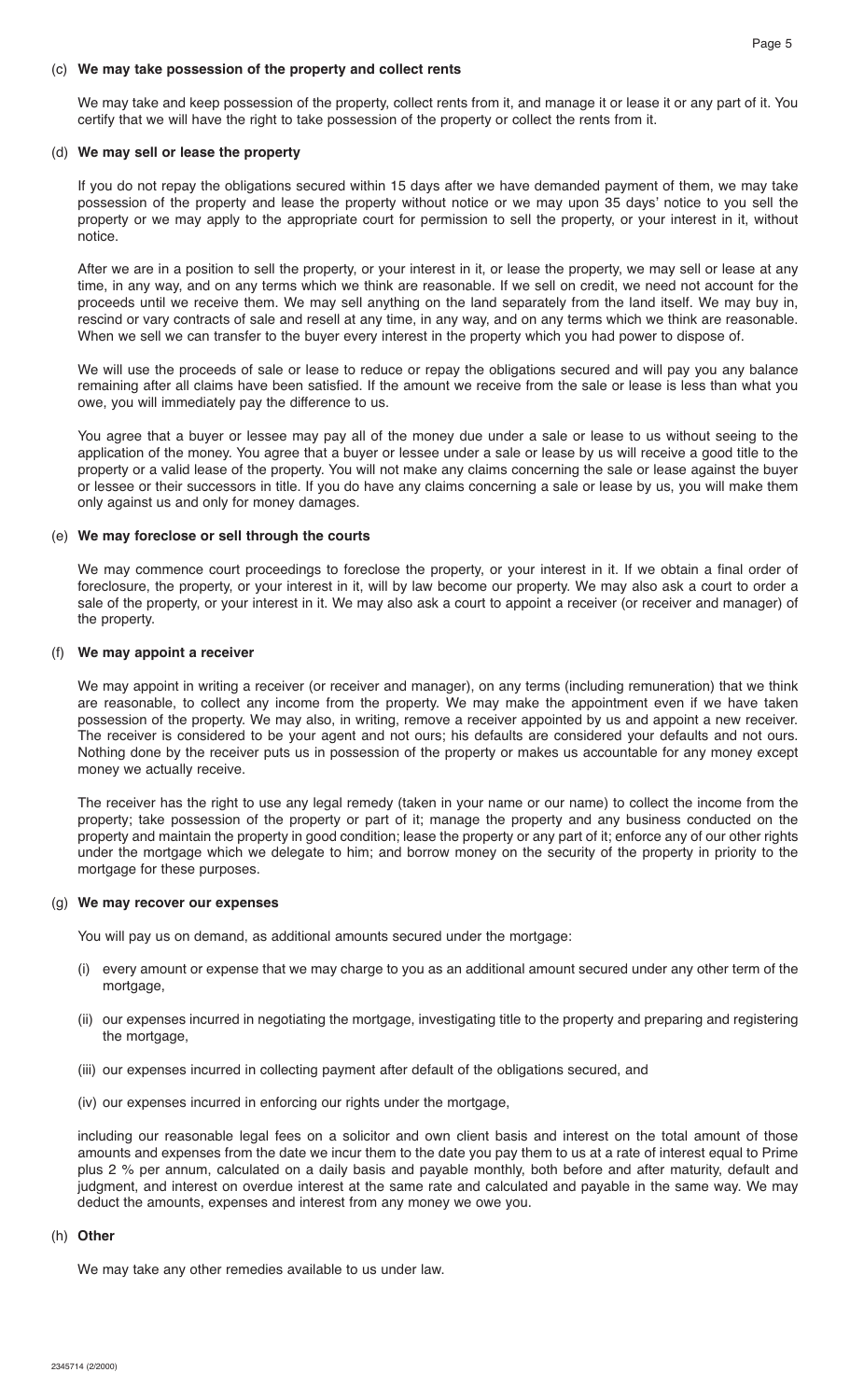#### (c) **We may take possession of the property and collect rents**

 We may take and keep possession of the property, collect rents from it, and manage it or lease it or any part of it. You certify that we will have the right to take possession of the property or collect the rents from it.

#### (d) **We may sell or lease the property**

 If you do not repay the obligations secured within 15 days after we have demanded payment of them, we may take possession of the property and lease the property without notice or we may upon 35 days' notice to you sell the property or we may apply to the appropriate court for permission to sell the property, or your interest in it, without notice.

 After we are in a position to sell the property, or your interest in it, or lease the property, we may sell or lease at any time, in any way, and on any terms which we think are reasonable. If we sell on credit, we need not account for the proceeds until we receive them. We may sell anything on the land separately from the land itself. We may buy in, rescind or vary contracts of sale and resell at any time, in any way, and on any terms which we think are reasonable. When we sell we can transfer to the buyer every interest in the property which you had power to dispose of.

We will use the proceeds of sale or lease to reduce or repay the obligations secured and will pay you any balance remaining after all claims have been satisfied. If the amount we receive from the sale or lease is less than what you owe, you will immediately pay the difference to us.

 You agree that a buyer or lessee may pay all of the money due under a sale or lease to us without seeing to the application of the money. You agree that a buyer or lessee under a sale or lease by us will receive a good title to the property or a valid lease of the property. You will not make any claims concerning the sale or lease against the buyer or lessee or their successors in title. If you do have any claims concerning a sale or lease by us, you will make them only against us and only for money damages.

#### (e) **We may foreclose or sell through the courts**

 We may commence court proceedings to foreclose the property, or your interest in it. If we obtain a final order of foreclosure, the property, or your interest in it, will by law become our property. We may also ask a court to order a sale of the property, or your interest in it. We may also ask a court to appoint a receiver (or receiver and manager) of the property.

#### (f) **We may appoint a receiver**

 We may appoint in writing a receiver (or receiver and manager), on any terms (including remuneration) that we think are reasonable, to collect any income from the property. We may make the appointment even if we have taken possession of the property. We may also, in writing, remove a receiver appointed by us and appoint a new receiver. The receiver is considered to be your agent and not ours; his defaults are considered your defaults and not ours. Nothing done by the receiver puts us in possession of the property or makes us accountable for any money except money we actually receive.

 The receiver has the right to use any legal remedy (taken in your name or our name) to collect the income from the property; take possession of the property or part of it; manage the property and any business conducted on the property and maintain the property in good condition; lease the property or any part of it; enforce any of our other rights under the mortgage which we delegate to him; and borrow money on the security of the property in priority to the mortgage for these purposes.

#### (g) **We may recover our expenses**

You will pay us on demand, as additional amounts secured under the mortgage:

- (i) every amount or expense that we may charge to you as an additional amount secured under any other term of the mortgage,
- (ii) our expenses incurred in negotiating the mortgage, investigating title to the property and preparing and registering the mortgage,
- (iii) our expenses incurred in collecting payment after default of the obligations secured, and
- (iv) our expenses incurred in enforcing our rights under the mortgage,

 including our reasonable legal fees on a solicitor and own client basis and interest on the total amount of those amounts and expenses from the date we incur them to the date you pay them to us at a rate of interest equal to Prime plus 2 % per annum, calculated on a daily basis and payable monthly, both before and after maturity, default and judgment, and interest on overdue interest at the same rate and calculated and payable in the same way. We may deduct the amounts, expenses and interest from any money we owe you.

#### (h) **Other**

We may take any other remedies available to us under law.